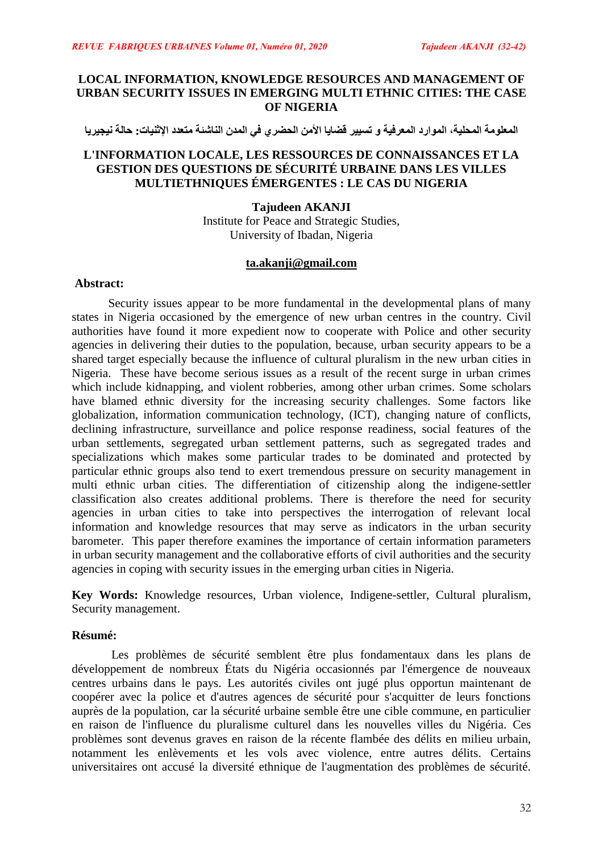# **LOCAL INFORMATION, KNOWLEDGE RESOURCES AND MANAGEMENT OF URBAN SECURITY ISSUES IN EMERGING MULTI ETHNIC CITIES: THE CASE OF NIGERIA**

المعلومة المحلية، الموارد المعرفية و تسيير قضايا الأمن الحضري في المدن الناشئة متعدد الإثنيات: حالة نيجيريا

# **L'INFORMATION LOCALE, LES RESSOURCES DE CONNAISSANCES ET LA GESTION DES QUESTIONS DE SÉCURITÉ URBAINE DANS LES VILLES MULTIETHNIQUES ÉMERGENTES : LE CAS DU NIGERIA**

# **Tajudeen AKANJI**

Institute for Peace and Strategic Studies, University of Ibadan, Nigeria

# **[ta.akanji@gmail.com](mailto:ta.akanji@gmail.com)**

## **Abstract:**

Security issues appear to be more fundamental in the developmental plans of many states in Nigeria occasioned by the emergence of new urban centres in the country. Civil authorities have found it more expedient now to cooperate with Police and other security agencies in delivering their duties to the population, because, urban security appears to be a shared target especially because the influence of cultural pluralism in the new urban cities in Nigeria. These have become serious issues as a result of the recent surge in urban crimes which include kidnapping, and violent robberies, among other urban crimes. Some scholars have blamed ethnic diversity for the increasing security challenges. Some factors like globalization, information communication technology, (ICT), changing nature of conflicts, declining infrastructure, surveillance and police response readiness, social features of the urban settlements, segregated urban settlement patterns, such as segregated trades and specializations which makes some particular trades to be dominated and protected by particular ethnic groups also tend to exert tremendous pressure on security management in multi ethnic urban cities. The differentiation of citizenship along the indigene-settler classification also creates additional problems. There is therefore the need for security agencies in urban cities to take into perspectives the interrogation of relevant local information and knowledge resources that may serve as indicators in the urban security barometer. This paper therefore examines the importance of certain information parameters in urban security management and the collaborative efforts of civil authorities and the security agencies in coping with security issues in the emerging urban cities in Nigeria.

**Key Words:** Knowledge resources, Urban violence, Indigene-settler, Cultural pluralism, Security management.

# **Résumé:**

Les problèmes de sécurité semblent être plus fondamentaux dans les plans de développement de nombreux États du Nigéria occasionnés par l'émergence de nouveaux centres urbains dans le pays. Les autorités civiles ont jugé plus opportun maintenant de coopérer avec la police et d'autres agences de sécurité pour s'acquitter de leurs fonctions auprès de la population, car la sécurité urbaine semble être une cible commune, en particulier en raison de l'influence du pluralisme culturel dans les nouvelles villes du Nigéria. Ces problèmes sont devenus graves en raison de la récente flambée des délits en milieu urbain, notamment les enlèvements et les vols avec violence, entre autres délits. Certains universitaires ont accusé la diversité ethnique de l'augmentation des problèmes de sécurité.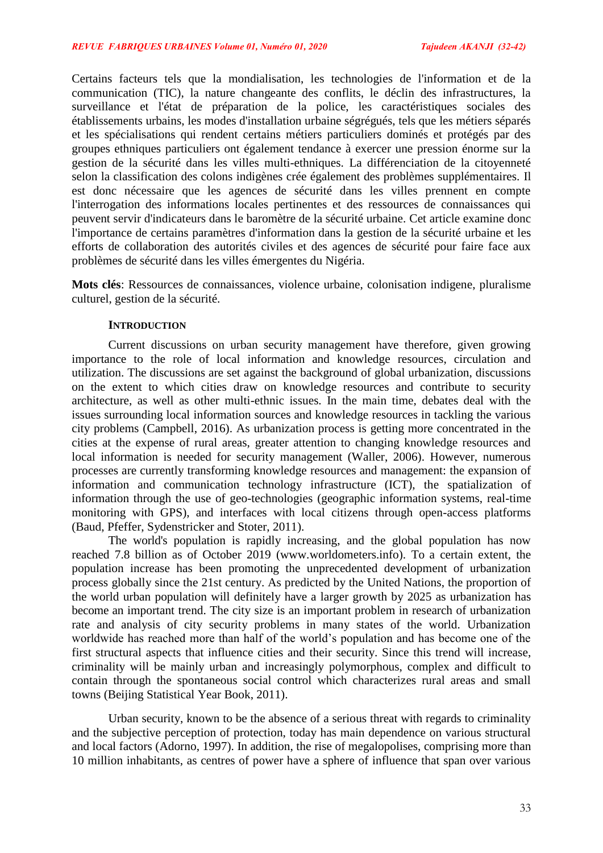Certains facteurs tels que la mondialisation, les technologies de l'information et de la communication (TIC), la nature changeante des conflits, le déclin des infrastructures, la surveillance et l'état de préparation de la police, les caractéristiques sociales des établissements urbains, les modes d'installation urbaine ségrégués, tels que les métiers séparés et les spécialisations qui rendent certains métiers particuliers dominés et protégés par des groupes ethniques particuliers ont également tendance à exercer une pression énorme sur la gestion de la sécurité dans les villes multi-ethniques. La différenciation de la citoyenneté selon la classification des colons indigènes crée également des problèmes supplémentaires. Il est donc nécessaire que les agences de sécurité dans les villes prennent en compte l'interrogation des informations locales pertinentes et des ressources de connaissances qui peuvent servir d'indicateurs dans le baromètre de la sécurité urbaine. Cet article examine donc l'importance de certains paramètres d'information dans la gestion de la sécurité urbaine et les efforts de collaboration des autorités civiles et des agences de sécurité pour faire face aux problèmes de sécurité dans les villes émergentes du Nigéria.

**Mots clés**: Ressources de connaissances, violence urbaine, colonisation indigene, pluralisme culturel, gestion de la sécurité.

### **INTRODUCTION**

Current discussions on urban security management have therefore, given growing importance to the role of local information and knowledge resources, circulation and utilization. The discussions are set against the background of global urbanization, discussions on the extent to which cities draw on knowledge resources and contribute to security architecture, as well as other multi-ethnic issues. In the main time, debates deal with the issues surrounding local information sources and knowledge resources in tackling the various city problems (Campbell, 2016). As urbanization process is getting more concentrated in the cities at the expense of rural areas, greater attention to changing knowledge resources and local information is needed for security management (Waller, 2006). However, numerous processes are currently transforming knowledge resources and management: the expansion of information and communication technology infrastructure (ICT), the spatialization of information through the use of geo-technologies (geographic information systems, real-time monitoring with GPS), and interfaces with local citizens through open-access platforms (Baud, Pfeffer, Sydenstricker and Stoter, 2011).

The world's population is rapidly increasing, and the global population has now reached 7.8 billion as of October 2019 (www.worldometers.info). To a certain extent, the population increase has been promoting the unprecedented development of urbanization process globally since the 21st century. As predicted by the United Nations, the proportion of the world urban population will definitely have a larger growth by 2025 as urbanization has become an important trend. The city size is an important problem in research of urbanization rate and analysis of city security problems in many states of the world. Urbanization worldwide has reached more than half of the world's population and has become one of the first structural aspects that influence cities and their security. Since this trend will increase, criminality will be mainly urban and increasingly polymorphous, complex and difficult to contain through the spontaneous social control which characterizes rural areas and small towns (Beijing Statistical Year Book, 2011).

Urban security, known to be the absence of a serious threat with regards to criminality and the subjective perception of protection, today has main dependence on various structural and local factors (Adorno, 1997). In addition, the rise of megalopolises, comprising more than 10 million inhabitants, as centres of power have a sphere of influence that span over various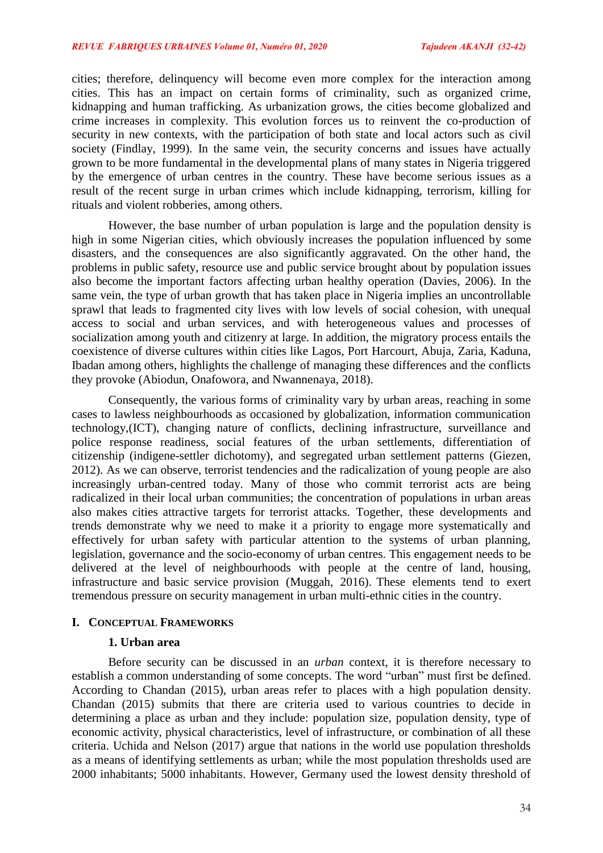cities; therefore, delinquency will become even more complex for the interaction among cities. This has an impact on certain forms of criminality, such as organized crime, kidnapping and human trafficking. As urbanization grows, the cities become globalized and crime increases in complexity. This evolution forces us to reinvent the co-production of security in new contexts, with the participation of both state and local actors such as civil society (Findlay, 1999). In the same vein, the security concerns and issues have actually grown to be more fundamental in the developmental plans of many states in Nigeria triggered by the emergence of urban centres in the country. These have become serious issues as a result of the recent surge in urban crimes which include kidnapping, terrorism, killing for rituals and violent robberies, among others.

However, the base number of urban population is large and the population density is high in some Nigerian cities, which obviously increases the population influenced by some disasters, and the consequences are also significantly aggravated. On the other hand, the problems in public safety, resource use and public service brought about by population issues also become the important factors affecting urban healthy operation (Davies, 2006). In the same vein, the type of urban growth that has taken place in Nigeria implies an uncontrollable sprawl that leads to fragmented city lives with low levels of social cohesion, with unequal access to social and urban services, and with heterogeneous values and processes of socialization among youth and citizenry at large. In addition, the migratory process entails the coexistence of diverse cultures within cities like Lagos, Port Harcourt, Abuja, Zaria, Kaduna, Ibadan among others, highlights the challenge of managing these differences and the conflicts they provoke (Abiodun, Onafowora, and Nwannenaya, 2018).

Consequently, the various forms of criminality vary by urban areas, reaching in some cases to lawless neighbourhoods as occasioned by globalization, information communication technology,(ICT), changing nature of conflicts, declining infrastructure, surveillance and police response readiness, social features of the urban settlements, differentiation of citizenship (indigene-settler dichotomy), and segregated urban settlement patterns (Giezen, 2012). As we can observe, terrorist tendencies and the radicalization of young people are also increasingly urban-centred today. Many of those who commit terrorist acts are being radicalized in their local urban communities; the concentration of populations in urban areas also makes cities attractive targets for terrorist attacks. Together, these developments and trends demonstrate why we need to make it a priority to engage more systematically and effectively for urban safety with particular attention to the systems of urban planning, legislation, governance and the socio-economy of urban centres. This engagement needs to be delivered at the level of neighbourhoods with people at the centre of land, housing, infrastructure and basic service provision (Muggah, 2016). These elements tend to exert tremendous pressure on security management in urban multi-ethnic cities in the country.

### **I. CONCEPTUAL FRAMEWORKS**

#### **1. Urban area**

Before security can be discussed in an *urban* context, it is therefore necessary to establish a common understanding of some concepts. The word "urban" must first be defined. According to Chandan (2015), urban areas refer to places with a high population density. Chandan (2015) submits that there are criteria used to various countries to decide in determining a place as urban and they include: population size, population density, type of economic activity, physical characteristics, level of infrastructure, or combination of all these criteria. Uchida and Nelson (2017) argue that nations in the world use population thresholds as a means of identifying settlements as urban; while the most population thresholds used are 2000 inhabitants; 5000 inhabitants. However, Germany used the lowest density threshold of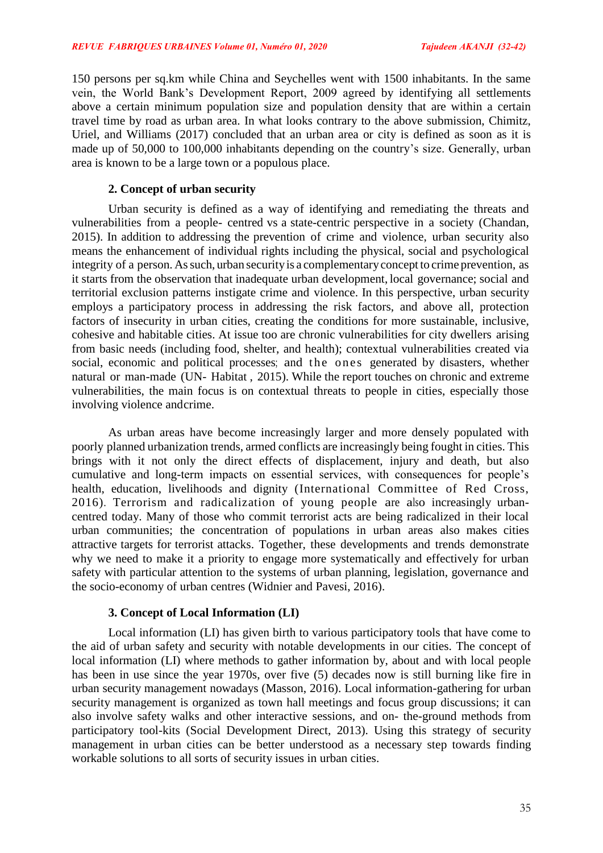150 persons per sq.km while China and Seychelles went with 1500 inhabitants. In the same vein, the World Bank's Development Report, 2009 agreed by identifying all settlements above a certain minimum population size and population density that are within a certain travel time by road as urban area. In what looks contrary to the above submission, Chimitz, Uriel, and Williams (2017) concluded that an urban area or city is defined as soon as it is made up of 50,000 to 100,000 inhabitants depending on the country's size. Generally, urban area is known to be a large town or a populous place.

# **2. Concept of urban security**

Urban security is defined as a way of identifying and remediating the threats and vulnerabilities from a people- centred vs a state-centric perspective in a society (Chandan, 2015). In addition to addressing the prevention of crime and violence, urban security also means the enhancement of individual rights including the physical, social and psychological integrity of a person. As such, urban security is a complementary concept to crime prevention, as it starts from the observation that inadequate urban development, local governance; social and territorial exclusion patterns instigate crime and violence. In this perspective, urban security employs a participatory process in addressing the risk factors, and above all, protection factors of insecurity in urban cities, creating the conditions for more sustainable, inclusive, cohesive and habitable cities. At issue too are chronic vulnerabilities for city dwellers arising from basic needs (including food, shelter, and health); contextual vulnerabilities created via social, economic and political processes; and the ones generated by disasters, whether natural or man-made (UN- Habitat , 2015). While the report touches on chronic and extreme vulnerabilities, the main focus is on contextual threats to people in cities, especially those involving violence andcrime.

As urban areas have become increasingly larger and more densely populated with poorly planned urbanization trends, armed conflicts are increasingly being fought in cities. This brings with it not only the direct effects of displacement, injury and death, but also cumulative and long-term impacts on essential services, with consequences for people's health, education, livelihoods and dignity (International Committee of Red Cross, 2016). Terrorism and radicalization of young people are also increasingly urbancentred today. Many of those who commit terrorist acts are being radicalized in their local urban communities; the concentration of populations in urban areas also makes cities attractive targets for terrorist attacks. Together, these developments and trends demonstrate why we need to make it a priority to engage more systematically and effectively for urban safety with particular attention to the systems of urban planning, legislation, governance and the socio-economy of urban centres (Widnier and Pavesi, 2016).

### **3. Concept of Local Information (LI)**

Local information (LI) has given birth to various participatory tools that have come to the aid of urban safety and security with notable developments in our cities. The concept of local information (LI) where methods to gather information by, about and with local people has been in use since the year 1970s, over five (5) decades now is still burning like fire in urban security management nowadays (Masson, 2016). Local information-gathering for urban security management is organized as town hall meetings and focus group discussions; it can also involve safety walks and other interactive sessions, and on- the-ground methods from participatory tool-kits (Social Development Direct, 2013). Using this strategy of security management in urban cities can be better understood as a necessary step towards finding workable solutions to all sorts of security issues in urban cities.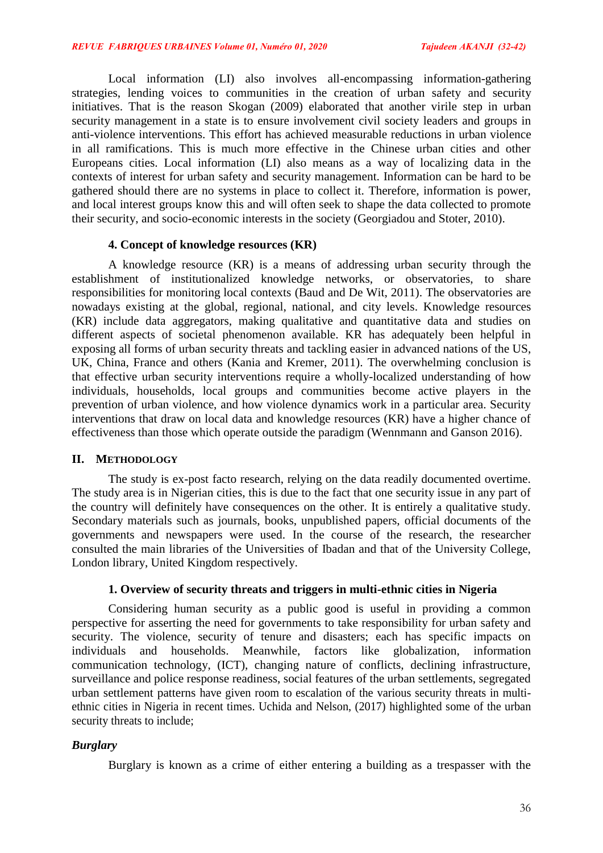Local information (LI) also involves all-encompassing information-gathering strategies, lending voices to communities in the creation of urban safety and security initiatives. That is the reason Skogan (2009) elaborated that another virile step in urban security management in a state is to ensure involvement civil society leaders and groups in anti-violence interventions. This effort has achieved measurable reductions in urban violence in all ramifications. This is much more effective in the Chinese urban cities and other Europeans cities. Local information (LI) also means as a way of localizing data in the contexts of interest for urban safety and security management. Information can be hard to be gathered should there are no systems in place to collect it. Therefore, information is power, and local interest groups know this and will often seek to shape the data collected to promote their security, and socio-economic interests in the society (Georgiadou and Stoter, 2010).

### **4. Concept of knowledge resources (KR)**

A knowledge resource (KR) is a means of addressing urban security through the establishment of institutionalized knowledge networks, or observatories, to share responsibilities for monitoring local contexts (Baud and De Wit, 2011). The observatories are nowadays existing at the global, regional, national, and city levels. Knowledge resources (KR) include data aggregators, making qualitative and quantitative data and studies on different aspects of societal phenomenon available. KR has adequately been helpful in exposing all forms of urban security threats and tackling easier in advanced nations of the US, UK, China, France and others (Kania and Kremer, 2011). The overwhelming conclusion is that effective urban security interventions require a wholly-localized understanding of how individuals, households, local groups and communities become active players in the prevention of urban violence, and how violence dynamics work in a particular area. Security interventions that draw on local data and knowledge resources (KR) have a higher chance of effectiveness than those which operate outside the paradigm (Wennmann and Ganson 2016).

### **II. METHODOLOGY**

The study is ex-post facto research, relying on the data readily documented overtime. The study area is in Nigerian cities, this is due to the fact that one security issue in any part of the country will definitely have consequences on the other. It is entirely a qualitative study. Secondary materials such as journals, books, unpublished papers, official documents of the governments and newspapers were used. In the course of the research, the researcher consulted the main libraries of the Universities of Ibadan and that of the University College, London library, United Kingdom respectively.

#### **1. Overview of security threats and triggers in multi-ethnic cities in Nigeria**

Considering human security as a public good is useful in providing a common perspective for asserting the need for governments to take responsibility for urban safety and security. The violence, security of tenure and disasters; each has specific impacts on individuals and households. Meanwhile, factors like globalization, information communication technology, (ICT), changing nature of conflicts, declining infrastructure, surveillance and police response readiness, social features of the urban settlements, segregated urban settlement patterns have given room to escalation of the various security threats in multiethnic cities in Nigeria in recent times. Uchida and Nelson, (2017) highlighted some of the urban security threats to include;

#### *Burglary*

Burglary is known as a crime of either entering a building as a trespasser with the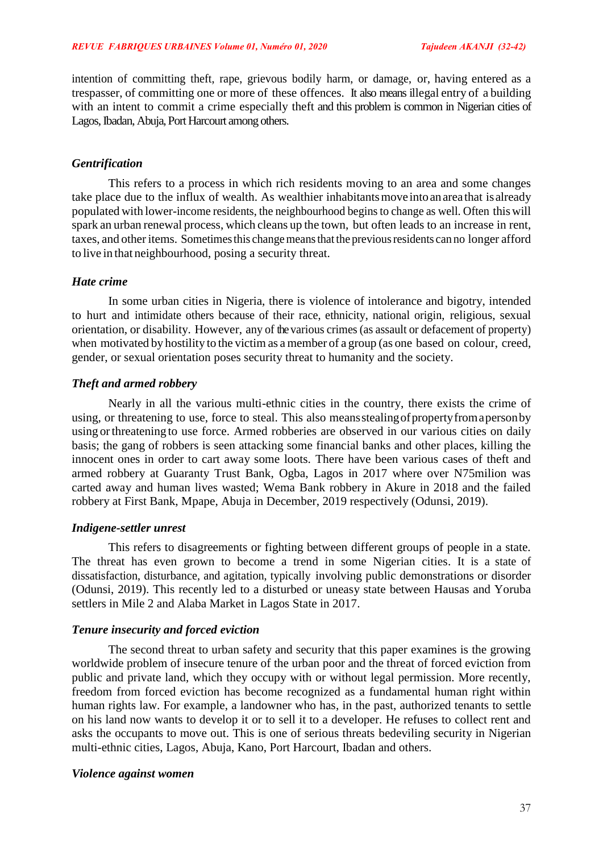intention of committing theft, rape, grievous bodily harm, or damage, or, having entered as a trespasser, of committing one or more of these offences. It also means illegal entry of a building with an intent to commit a crime especially theft and this problem is common in Nigerian cities of Lagos, Ibadan, Abuja, Port Harcourt among others.

# *Gentrification*

This refers to a process in which rich residents moving to an area and some changes take place due to the influx of wealth. As wealthier inhabitants move into an area that is already populated with lower-income residents, the neighbourhood beginsto change as well. Often thiswill spark an urban renewal process, which cleans up the town, but often leads to an increase in rent, taxes, and other items. Sometimes this change means that the previous residents can no longer afford to live in that neighbourhood, posing a security threat.

### *Hate crime*

In some urban cities in Nigeria, there is violence of intolerance and bigotry, intended to hurt and intimidate others because of their race, ethnicity, national origin, religious, sexual orientation, or disability. However, any of the various crimes(as assault or defacement of property) when motivated by hostility to the victim as a member of a group (as one based on colour, creed, gender, or sexual orientation poses security threat to humanity and the society.

# *Theft and armed robbery*

Nearly in all the various multi-ethnic cities in the country, there exists the crime of using, or threatening to use, force to steal. This also means stealing of property from a person by using orthreatening to use force. Armed robberies are observed in our various cities on daily basis; the gang of robbers is seen attacking some financial banks and other places, killing the innocent ones in order to cart away some loots. There have been various cases of theft and armed robbery at Guaranty Trust Bank, Ogba, Lagos in 2017 where over N75milion was carted away and human lives wasted; Wema Bank robbery in Akure in 2018 and the failed robbery at First Bank, Mpape, Abuja in December, 2019 respectively (Odunsi, 2019).

### *Indigene-settler unrest*

This refers to disagreements or fighting between different groups of people in a state. The threat has even grown to become a trend in some Nigerian cities. It is a state of dissatisfaction, disturbance, and agitation, typically involving public demonstrations or disorder (Odunsi, 2019). This recently led to a disturbed or uneasy state between Hausas and Yoruba settlers in Mile 2 and Alaba Market in Lagos State in 2017.

### *Tenure insecurity and forced eviction*

The second threat to urban safety and security that this paper examines is the growing worldwide problem of insecure tenure of the urban poor and the threat of forced eviction from public and private land, which they occupy with or without legal permission. More recently, freedom from forced eviction has become recognized as a fundamental human right within human rights law. For example, a landowner who has, in the past, authorized tenants to settle on his land now wants to develop it or to sell it to a developer. He refuses to collect rent and asks the occupants to move out. This is one of serious threats bedeviling security in Nigerian multi-ethnic cities, Lagos, Abuja, Kano, Port Harcourt, Ibadan and others.

### *Violence against women*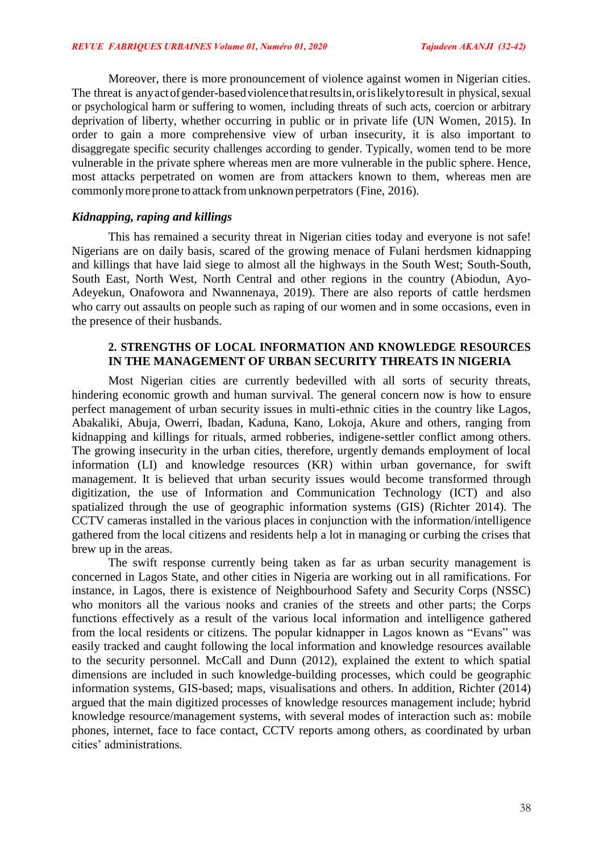Moreover, there is more pronouncement of violence against women in Nigerian cities. The threat is any act of gender-based violence that results in, or is likely to result in physical, sexual or psychological harm or suffering to women, including threats of such acts, coercion or arbitrary deprivation of liberty, whether occurring in public or in private life (UN Women, 2015). In order to gain a more comprehensive view of urban insecurity, it is also important to disaggregate specific security challenges according to gender. Typically, women tend to be more vulnerable in the private sphere whereas men are more vulnerable in the public sphere. Hence, most attacks perpetrated on women are from attackers known to them, whereas men are commonlymore prone to attack fromunknown perpetrators (Fine, 2016).

# *Kidnapping, raping and killings*

This has remained a security threat in Nigerian cities today and everyone is not safe! Nigerians are on daily basis, scared of the growing menace of Fulani herdsmen kidnapping and killings that have laid siege to almost all the highways in the South West; South-South, South East, North West, North Central and other regions in the country (Abiodun, Ayo-Adeyekun, Onafowora and Nwannenaya, 2019). There are also reports of cattle herdsmen who carry out assaults on people such as raping of our women and in some occasions, even in the presence of their husbands.

## **2. STRENGTHS OF LOCAL INFORMATION AND KNOWLEDGE RESOURCES IN THE MANAGEMENT OF URBAN SECURITY THREATS IN NIGERIA**

Most Nigerian cities are currently bedevilled with all sorts of security threats, hindering economic growth and human survival. The general concern now is how to ensure perfect management of urban security issues in multi-ethnic cities in the country like Lagos, Abakaliki, Abuja, Owerri, Ibadan, Kaduna, Kano, Lokoja, Akure and others, ranging from kidnapping and killings for rituals, armed robberies, indigene-settler conflict among others. The growing insecurity in the urban cities, therefore, urgently demands employment of local information (LI) and knowledge resources (KR) within urban governance, for swift management. It is believed that urban security issues would become transformed through digitization, the use of Information and Communication Technology (ICT) and also spatialized through the use of geographic information systems (GIS) (Richter 2014). The CCTV cameras installed in the various places in conjunction with the information/intelligence gathered from the local citizens and residents help a lot in managing or curbing the crises that brew up in the areas.

The swift response currently being taken as far as urban security management is concerned in Lagos State, and other cities in Nigeria are working out in all ramifications. For instance, in Lagos, there is existence of Neighbourhood Safety and Security Corps (NSSC) who monitors all the various nooks and cranies of the streets and other parts; the Corps functions effectively as a result of the various local information and intelligence gathered from the local residents or citizens. The popular kidnapper in Lagos known as "Evans" was easily tracked and caught following the local information and knowledge resources available to the security personnel. McCall and Dunn (2012), explained the extent to which spatial dimensions are included in such knowledge-building processes, which could be geographic information systems, GIS-based; maps, visualisations and others. In addition, Richter (2014) argued that the main digitized processes of knowledge resources management include; hybrid knowledge resource/management systems, with several modes of interaction such as: mobile phones, internet, face to face contact, CCTV reports among others, as coordinated by urban cities' administrations.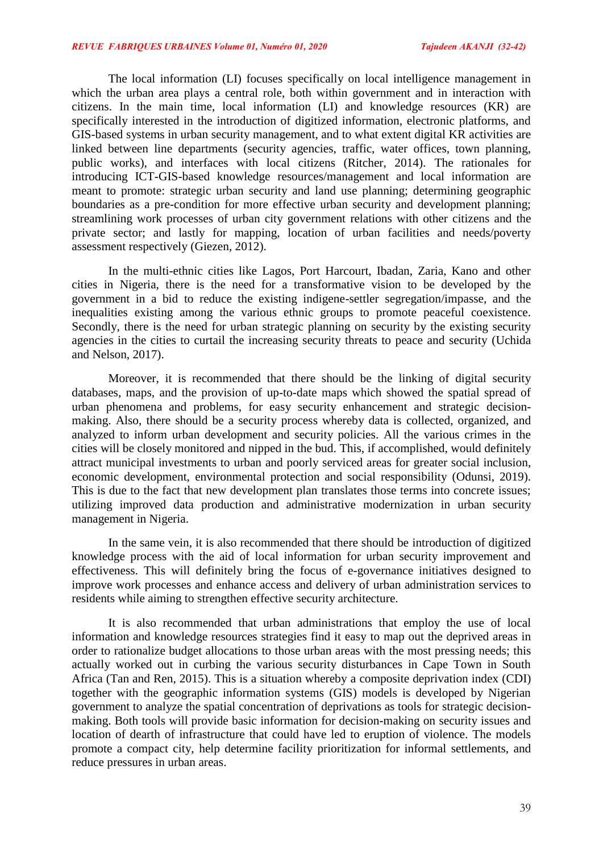The local information (LI) focuses specifically on local intelligence management in which the urban area plays a central role, both within government and in interaction with citizens. In the main time, local information (LI) and knowledge resources (KR) are specifically interested in the introduction of digitized information, electronic platforms, and GIS-based systems in urban security management, and to what extent digital KR activities are linked between line departments (security agencies, traffic, water offices, town planning, public works), and interfaces with local citizens (Ritcher, 2014). The rationales for introducing ICT-GIS-based knowledge resources/management and local information are meant to promote: strategic urban security and land use planning; determining geographic boundaries as a pre-condition for more effective urban security and development planning; streamlining work processes of urban city government relations with other citizens and the private sector; and lastly for mapping, location of urban facilities and needs/poverty assessment respectively (Giezen, 2012).

In the multi-ethnic cities like Lagos, Port Harcourt, Ibadan, Zaria, Kano and other cities in Nigeria, there is the need for a transformative vision to be developed by the government in a bid to reduce the existing indigene-settler segregation/impasse, and the inequalities existing among the various ethnic groups to promote peaceful coexistence. Secondly, there is the need for urban strategic planning on security by the existing security agencies in the cities to curtail the increasing security threats to peace and security (Uchida and Nelson, 2017).

Moreover, it is recommended that there should be the linking of digital security databases, maps, and the provision of up-to-date maps which showed the spatial spread of urban phenomena and problems, for easy security enhancement and strategic decisionmaking. Also, there should be a security process whereby data is collected, organized, and analyzed to inform urban development and security policies. All the various crimes in the cities will be closely monitored and nipped in the bud. This, if accomplished, would definitely attract municipal investments to urban and poorly serviced areas for greater social inclusion, economic development, environmental protection and social responsibility (Odunsi, 2019). This is due to the fact that new development plan translates those terms into concrete issues; utilizing improved data production and administrative modernization in urban security management in Nigeria.

In the same vein, it is also recommended that there should be introduction of digitized knowledge process with the aid of local information for urban security improvement and effectiveness. This will definitely bring the focus of e-governance initiatives designed to improve work processes and enhance access and delivery of urban administration services to residents while aiming to strengthen effective security architecture.

It is also recommended that urban administrations that employ the use of local information and knowledge resources strategies find it easy to map out the deprived areas in order to rationalize budget allocations to those urban areas with the most pressing needs; this actually worked out in curbing the various security disturbances in Cape Town in South Africa (Tan and Ren, 2015). This is a situation whereby a composite deprivation index (CDI) together with the geographic information systems (GIS) models is developed by Nigerian government to analyze the spatial concentration of deprivations as tools for strategic decisionmaking. Both tools will provide basic information for decision-making on security issues and location of dearth of infrastructure that could have led to eruption of violence. The models promote a compact city, help determine facility prioritization for informal settlements, and reduce pressures in urban areas.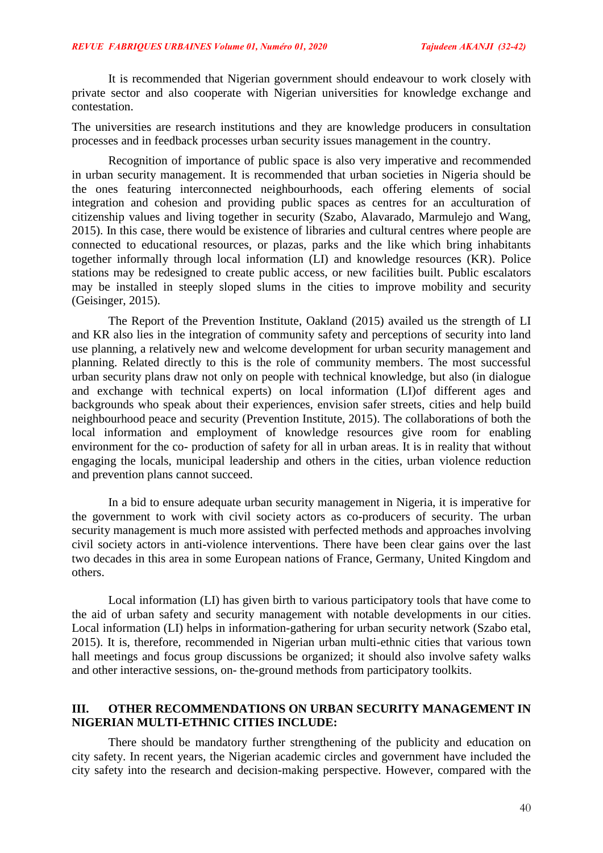It is recommended that Nigerian government should endeavour to work closely with private sector and also cooperate with Nigerian universities for knowledge exchange and contestation.

The universities are research institutions and they are knowledge producers in consultation processes and in feedback processes urban security issues management in the country.

Recognition of importance of public space is also very imperative and recommended in urban security management. It is recommended that urban societies in Nigeria should be the ones featuring interconnected neighbourhoods, each offering elements of social integration and cohesion and providing public spaces as centres for an acculturation of citizenship values and living together in security (Szabo, Alavarado, Marmulejo and Wang, 2015). In this case, there would be existence of libraries and cultural centres where people are connected to educational resources, or plazas, parks and the like which bring inhabitants together informally through local information (LI) and knowledge resources (KR). Police stations may be redesigned to create public access, or new facilities built. Public escalators may be installed in steeply sloped slums in the cities to improve mobility and security (Geisinger, 2015).

The Report of the Prevention Institute, Oakland (2015) availed us the strength of LI and KR also lies in the integration of community safety and perceptions of security into land use planning, a relatively new and welcome development for urban security management and planning. Related directly to this is the role of community members. The most successful urban security plans draw not only on people with technical knowledge, but also (in dialogue and exchange with technical experts) on local information (LI)of different ages and backgrounds who speak about their experiences, envision safer streets, cities and help build neighbourhood peace and security (Prevention Institute, 2015). The collaborations of both the local information and employment of knowledge resources give room for enabling environment for the co- production of safety for all in urban areas. It is in reality that without engaging the locals, municipal leadership and others in the cities, urban violence reduction and prevention plans cannot succeed.

In a bid to ensure adequate urban security management in Nigeria, it is imperative for the government to work with civil society actors as co-producers of security. The urban security management is much more assisted with perfected methods and approaches involving civil society actors in anti-violence interventions. There have been clear gains over the last two decades in this area in some European nations of France, Germany, United Kingdom and others.

Local information (LI) has given birth to various participatory tools that have come to the aid of urban safety and security management with notable developments in our cities. Local information (LI) helps in information-gathering for urban security network (Szabo etal, 2015). It is, therefore, recommended in Nigerian urban multi-ethnic cities that various town hall meetings and focus group discussions be organized; it should also involve safety walks and other interactive sessions, on- the-ground methods from participatory toolkits.

# **III. OTHER RECOMMENDATIONS ON URBAN SECURITY MANAGEMENT IN NIGERIAN MULTI-ETHNIC CITIES INCLUDE:**

There should be mandatory further strengthening of the publicity and education on city safety. In recent years, the Nigerian academic circles and government have included the city safety into the research and decision-making perspective. However, compared with the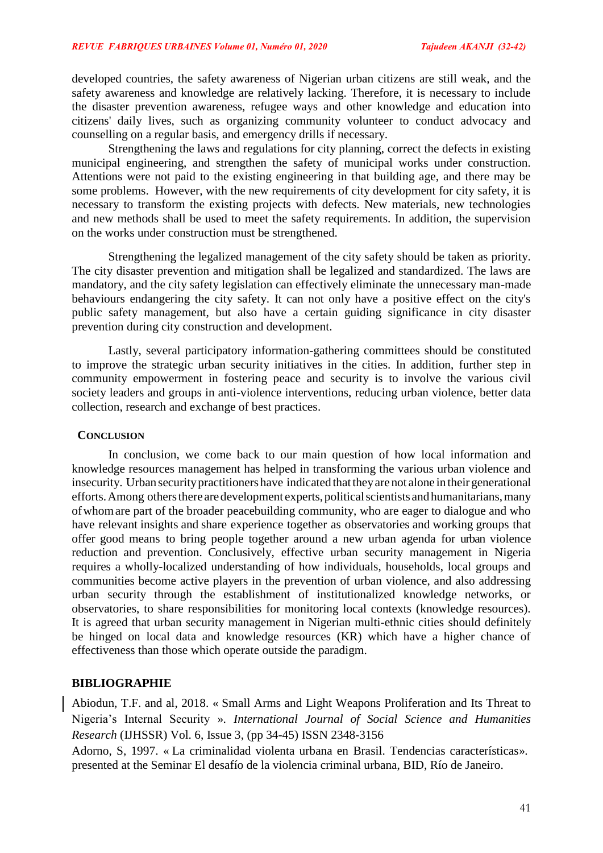developed countries, the safety awareness of Nigerian urban citizens are still weak, and the safety awareness and knowledge are relatively lacking. Therefore, it is necessary to include the disaster prevention awareness, refugee ways and other knowledge and education into citizens' daily lives, such as organizing community volunteer to conduct advocacy and counselling on a regular basis, and emergency drills if necessary.

Strengthening the laws and regulations for city planning, correct the defects in existing municipal engineering, and strengthen the safety of municipal works under construction. Attentions were not paid to the existing engineering in that building age, and there may be some problems. However, with the new requirements of city development for city safety, it is necessary to transform the existing projects with defects. New materials, new technologies and new methods shall be used to meet the safety requirements. In addition, the supervision on the works under construction must be strengthened.

Strengthening the legalized management of the city safety should be taken as priority. The city disaster prevention and mitigation shall be legalized and standardized. The laws are mandatory, and the city safety legislation can effectively eliminate the unnecessary man-made behaviours endangering the city safety. It can not only have a positive effect on the city's public safety management, but also have a certain guiding significance in city disaster prevention during city construction and development.

Lastly, several participatory information-gathering committees should be constituted to improve the strategic urban security initiatives in the cities. In addition, further step in community empowerment in fostering peace and security is to involve the various civil society leaders and groups in anti-violence interventions, reducing urban violence, better data collection, research and exchange of best practices.

#### **CONCLUSION**

In conclusion, we come back to our main question of how local information and knowledge resources management has helped in transforming the various urban violence and insecurity. Urban security practitioners have indicated that they are not alone in their generational efforts. Among others there are development experts, political scientists and humanitarians, many ofwhomare part of the broader peacebuilding community, who are eager to dialogue and who have relevant insights and share experience together as observatories and working groups that offer good means to bring people together around a new urban agenda for urban violence reduction and prevention. Conclusively, effective urban security management in Nigeria requires a wholly-localized understanding of how individuals, households, local groups and communities become active players in the prevention of urban violence, and also addressing urban security through the establishment of institutionalized knowledge networks, or observatories, to share responsibilities for monitoring local contexts (knowledge resources). It is agreed that urban security management in Nigerian multi-ethnic cities should definitely be hinged on local data and knowledge resources (KR) which have a higher chance of effectiveness than those which operate outside the paradigm.

# **BIBLIOGRAPHIE**

Abiodun, T.F. and al, 2018. « Small Arms and Light Weapons Proliferation and Its Threat to Nigeria's Internal Security ». *International Journal of Social Science and Humanities Research* (IJHSSR) Vol. 6, Issue 3, (pp 34-45) ISSN 2348-3156

Adorno, S, 1997. « La criminalidad violenta urbana en Brasil. Tendencias características». presented at the Seminar El desafío de la violencia criminal urbana, BID, Río de Janeiro.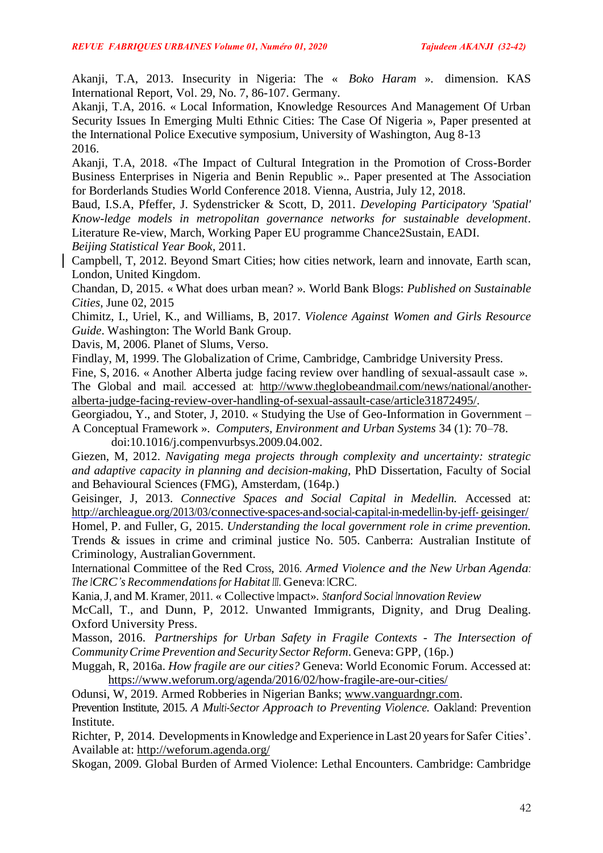Akanji, T.A, 2013. Insecurity in Nigeria: The « *Boko Haram* ». dimension. KAS International Report, Vol. 29, No. 7, 86-107. Germany.

Akanji, T.A, 2016. « Local Information, Knowledge Resources And Management Of Urban Security Issues In Emerging Multi Ethnic Cities: The Case Of Nigeria », Paper presented at the International Police Executive symposium, University of Washington, Aug 8-13 2016.

Akanji, T.A, 2018. «The Impact of Cultural Integration in the Promotion of Cross-Border Business Enterprises in Nigeria and Benin Republic ».. Paper presented at The Association for Borderlands Studies World Conference 2018. Vienna, Austria, July 12, 2018.

Baud, I.S.A, Pfeffer, J. Sydenstricker & Scott, D, 2011. *Developing Participatory 'Spatial' Know-ledge models in metropolitan governance networks for sustainable development*. Literature Re-view, March, Working Paper EU programme Chance2Sustain, EADI. *Beijing Statistical Year Book*, 2011.

Campbell, T, 2012. Beyond Smart Cities; how cities network, learn and innovate, Earth scan, London, United Kingdom.

Chandan, D, 2015. « What does urban mean? ». World Bank Blogs: *Published on Sustainable Cities*, June 02, 2015

Chimitz, I., Uriel, K., and Williams, B, 2017. *Violence Against Women and Girls Resource Guide*. Washington: The World Bank Group.

Davis, M, 2006. Planet of Slums, Verso.

Findlay, M, 1999. The Globalization of Crime, Cambridge, Cambridge University Press.

Fine, S, 2016. « Another Alberta judge facing review over handling of sexual-assault case ». The Global and mail. accessed at: [http://www.theglobeandmail.com/news/national/another-](http://www.theglobeandmail.com/news/national/another-%20alberta-judge-facing-review-over-handling-of-sexual-assault-case/article31872495/)

[alberta-judge-facing-review-over-handling-of-sexual-assault-case/article31872495/.](http://www.theglobeandmail.com/news/national/another-%20alberta-judge-facing-review-over-handling-of-sexual-assault-case/article31872495/)

Georgiadou, Y., and Stoter, J, 2010. « Studying the Use of Geo-Information in Government – A Conceptual Framework ». *Computers, Environment and Urban Systems* 34 (1): 70–78.

doi:10.1016/j.compenvurbsys.2009.04.002.

Giezen, M, 2012. *Navigating mega projects through complexity and uncertainty: strategic and adaptive capacity in planning and decision-making*, PhD Dissertation, Faculty of Social and Behavioural Sciences (FMG), Amsterdam, (164p.)

Geisinger, J, 2013. *Connective Spaces and Social Capital in Medellin.* Accessed at: <http://archleague.org/2013/03/connective-spaces-and-social-capital-in-medellin-by-jeff-> [geisinger/](http://archleague.org/2013/03/connective-spaces-and-social-capital-in-medellin-by-jeff-geisinger/) Homel, P. and Fuller, G, 2015. *Understanding the local government role in crime prevention.*  Trends & issues in crime and criminal justice No. 505. Canberra: Australian Institute of Criminology, AustralianGovernment.

International Committee of the Red Cross, 2016. *Armed Violence and the New Urban Agenda: The ICRC's Recommendations for Habitat III*. Geneva: ICRC.

Kania,J, and M. Kramer, 2011. « Collective Impact». *Stanford Social Innovation Review*

McCall, T., and Dunn, P, 2012. Unwanted Immigrants, Dignity, and Drug Dealing. Oxford University Press.

Masson, 2016. *Partnerships for Urban Safety in Fragile Contexts - The Intersection of CommunityCrime Prevention and Security Sector Reform*. Geneva: GPP, (16p.)

Muggah, R, 2016a. *How fragile are our cities?* Geneva: World Economic Forum. Accessed at: <https://www.weforum.org/agenda/2016/02/how-fragile-are-our-cities/>

Odunsi, W, 2019. Armed Robberies in Nigerian Banks; [www.vanguardngr.com.](http://www.vanguardngr.com/)

Prevention Institute, 2015. *A Multi-Sector Approach to Preventing Violence.* Oakland: Prevention Institute.

Richter, P, 2014. Developments in Knowledge and Experience in Last 20 years for Safer Cities'. Available at: <http://weforum.agenda.org/>

Skogan, 2009. Global Burden of Armed Violence: Lethal Encounters. Cambridge: Cambridge